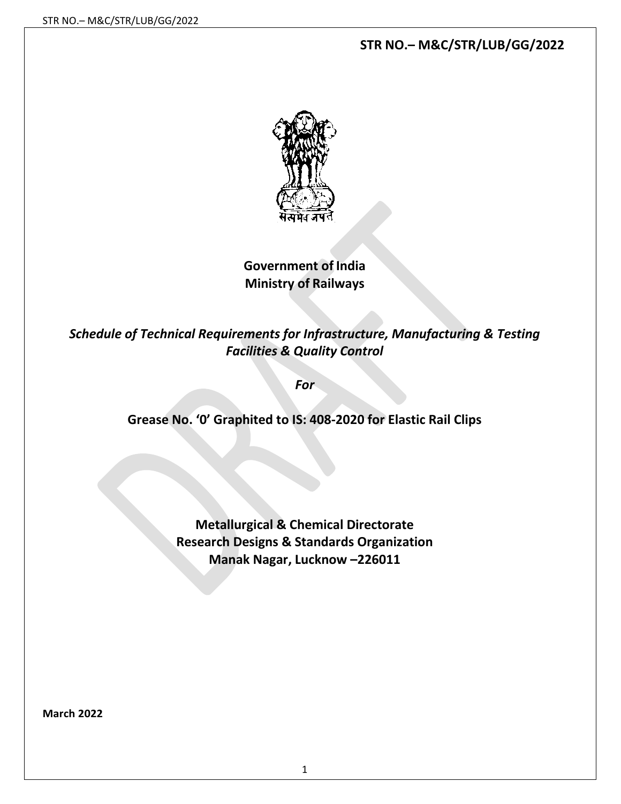# **STR NO.– M&C/STR/LUB/GG/2022**



**Government of India Ministry of Railways**

*Schedule of Technical Requirements for Infrastructure, Manufacturing & Testing Facilities & Quality Control*

*For*

**Grease No. '0' Graphited to IS: 408-2020 for Elastic Rail Clips**

**Metallurgical & Chemical Directorate Research Designs & Standards Organization Manak Nagar, Lucknow –226011**

**March 2022**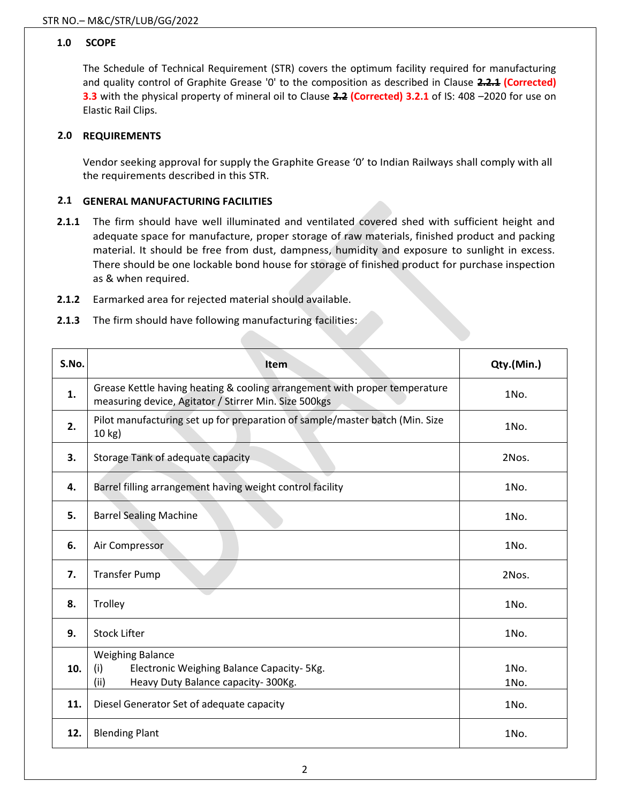### **1.0 SCOPE**

The Schedule of Technical Requirement (STR) covers the optimum facility required for manufacturing and quality control of Graphite Grease '0' to the composition as described in Clause **2.2.1 (Corrected) 3.3** with the physical property of mineral oil to Clause **2.2 (Corrected) 3.2.1** of IS: 408 –2020 for use on Elastic Rail Clips.

### **2.0 REQUIREMENTS**

Vendor seeking approval for supply the Graphite Grease '0' to Indian Railways shall comply with all the requirements described in this STR.

#### **2.1 GENERAL MANUFACTURING FACILITIES**

- **2.1.1** The firm should have well illuminated and ventilated covered shed with sufficient height and adequate space for manufacture, proper storage of raw materials, finished product and packing material. It should be free from dust, dampness, humidity and exposure to sunlight in excess. There should be one lockable bond house for storage of finished product for purchase inspection as & when required.
- **2.1.2** Earmarked area for rejected material should available.
- **2.1.3** The firm should have following manufacturing facilities:

| S.No. | Item                                                                                                                                | Qty.(Min.)   |
|-------|-------------------------------------------------------------------------------------------------------------------------------------|--------------|
| 1.    | Grease Kettle having heating & cooling arrangement with proper temperature<br>measuring device, Agitator / Stirrer Min. Size 500kgs | 1No.         |
| 2.    | Pilot manufacturing set up for preparation of sample/master batch (Min. Size<br>10 kg)                                              | 1No.         |
| 3.    | Storage Tank of adequate capacity                                                                                                   | 2Nos.        |
| 4.    | Barrel filling arrangement having weight control facility                                                                           | 1No.         |
| 5.    | <b>Barrel Sealing Machine</b>                                                                                                       | 1No.         |
| 6.    | Air Compressor                                                                                                                      | 1No.         |
| 7.    | <b>Transfer Pump</b>                                                                                                                | 2Nos.        |
| 8.    | Trolley                                                                                                                             | 1No.         |
| 9.    | <b>Stock Lifter</b>                                                                                                                 | 1No.         |
| 10.   | <b>Weighing Balance</b><br>(i)<br>Electronic Weighing Balance Capacity- 5Kg.<br>(ii)<br>Heavy Duty Balance capacity-300Kg.          | 1No.<br>1No. |
| 11.   | Diesel Generator Set of adequate capacity                                                                                           | 1No.         |
| 12.   | <b>Blending Plant</b>                                                                                                               | 1No.         |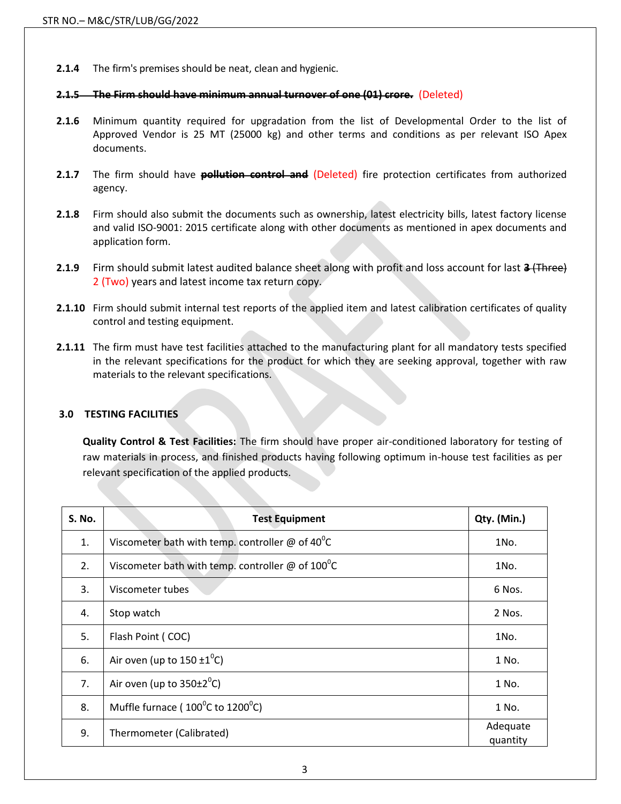**2.1.4** The firm's premises should be neat, clean and hygienic.

#### **2.1.5 The Firm should have minimum annual turnover of one (01) crore.** (Deleted)

- **2.1.6** Minimum quantity required for upgradation from the list of Developmental Order to the list of Approved Vendor is 25 MT (25000 kg) and other terms and conditions as per relevant ISO Apex documents.
- **2.1.7** The firm should have **pollution control and** (Deleted) fire protection certificates from authorized agency.
- **2.1.8** Firm should also submit the documents such as ownership, latest electricity bills, latest factory license and valid ISO-9001: 2015 certificate along with other documents as mentioned in apex documents and application form.
- **2.1.9** Firm should submit latest audited balance sheet along with profit and loss account for last **3** (Three) 2 (Two) years and latest income tax return copy.
- **2.1.10** Firm should submit internal test reports of the applied item and latest calibration certificates of quality control and testing equipment.
- **2.1.11** The firm must have test facilities attached to the manufacturing plant for all mandatory tests specified in the relevant specifications for the product for which they are seeking approval, together with raw materials to the relevant specifications.

## **3.0 TESTING FACILITIES**

**Quality Control & Test Facilities:** The firm should have proper air-conditioned laboratory for testing of raw materials in process, and finished products having following optimum in-house test facilities as per relevant specification of the applied products.

| <b>S. No.</b> | <b>Test Equipment</b>                                                | Qty. (Min.)          |
|---------------|----------------------------------------------------------------------|----------------------|
| 1.            | Viscometer bath with temp. controller @ of $40^{\circ}$ C            | 1No.                 |
| 2.            | Viscometer bath with temp. controller $\omega$ of 100 <sup>o</sup> C | 1No.                 |
| 3.            | Viscometer tubes                                                     | 6 Nos.               |
| 4.            | Stop watch                                                           | 2 Nos.               |
| 5.            | Flash Point (COC)                                                    | 1No.                 |
| 6.            | Air oven (up to $150 \pm 1^0$ C)                                     | 1 No.                |
| 7.            | Air oven (up to $350\pm2^0$ C)                                       | 1 No.                |
| 8.            | Muffle furnace (100°C to 1200°C)                                     | 1 No.                |
| 9.            | Thermometer (Calibrated)                                             | Adequate<br>quantity |